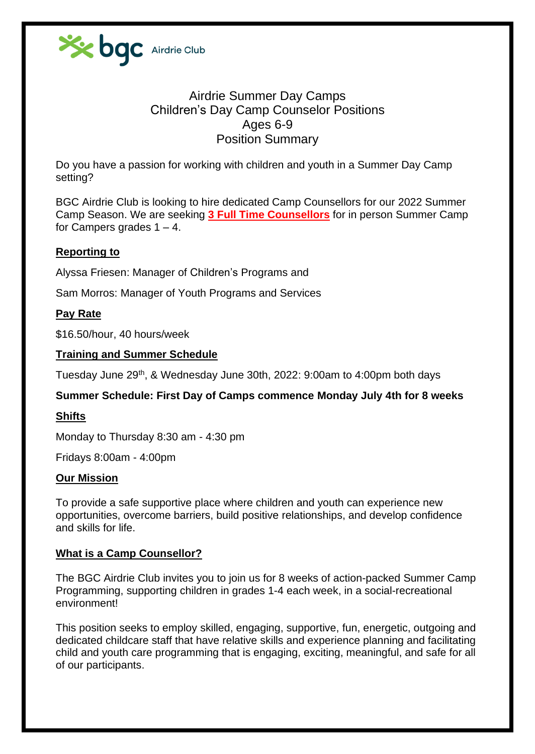

# Airdrie Summer Day Camps Children's Day Camp Counselor Positions Ages 6-9 Position Summary

Do you have a passion for working with children and youth in a Summer Day Camp setting?

BGC Airdrie Club is looking to hire dedicated Camp Counsellors for our 2022 Summer Camp Season. We are seeking **3 Full Time Counsellors** for in person Summer Camp for Campers grades  $1 - 4$ .

#### **Reporting to**

Alyssa Friesen: Manager of Children's Programs and

Sam Morros: Manager of Youth Programs and Services

#### **Pay Rate**

\$16.50/hour, 40 hours/week

#### **Training and Summer Schedule**

Tuesday June 29<sup>th</sup>, & Wednesday June 30th, 2022: 9:00am to 4:00pm both days

#### **Summer Schedule: First Day of Camps commence Monday July 4th for 8 weeks**

#### **Shifts**

Monday to Thursday 8:30 am - 4:30 pm

Fridays 8:00am - 4:00pm

#### **Our Mission**

To provide a safe supportive place where children and youth can experience new opportunities, overcome barriers, build positive relationships, and develop confidence and skills for life.

#### **What is a Camp Counsellor?**

The BGC Airdrie Club invites you to join us for 8 weeks of action-packed Summer Camp Programming, supporting children in grades 1-4 each week, in a social-recreational environment!

This position seeks to employ skilled, engaging, supportive, fun, energetic, outgoing and dedicated childcare staff that have relative skills and experience planning and facilitating child and youth care programming that is engaging, exciting, meaningful, and safe for all of our participants.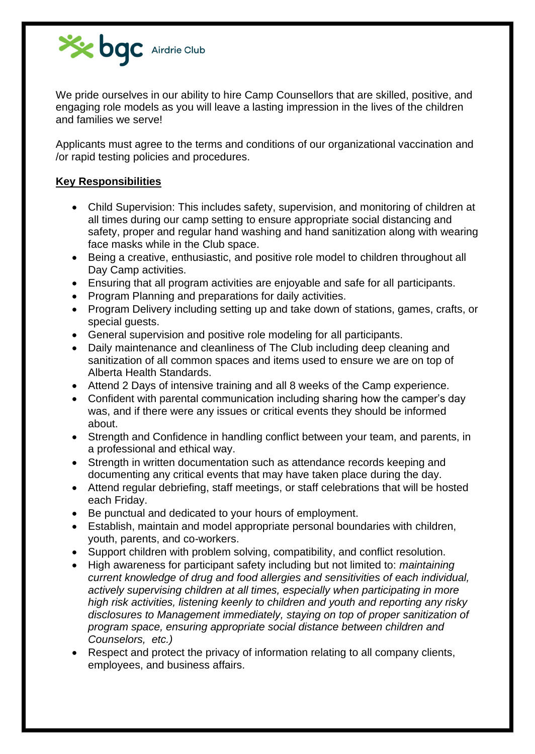

We pride ourselves in our ability to hire Camp Counsellors that are skilled, positive, and engaging role models as you will leave a lasting impression in the lives of the children and families we serve!

Applicants must agree to the terms and conditions of our organizational vaccination and /or rapid testing policies and procedures.

### **Key Responsibilities**

- Child Supervision: This includes safety, supervision, and monitoring of children at all times during our camp setting to ensure appropriate social distancing and safety, proper and regular hand washing and hand sanitization along with wearing face masks while in the Club space.
- Being a creative, enthusiastic, and positive role model to children throughout all Day Camp activities.
- Ensuring that all program activities are enjoyable and safe for all participants.
- Program Planning and preparations for daily activities.
- Program Delivery including setting up and take down of stations, games, crafts, or special guests.
- General supervision and positive role modeling for all participants.
- Daily maintenance and cleanliness of The Club including deep cleaning and sanitization of all common spaces and items used to ensure we are on top of Alberta Health Standards.
- Attend 2 Days of intensive training and all 8 weeks of the Camp experience.
- Confident with parental communication including sharing how the camper's day was, and if there were any issues or critical events they should be informed about.
- Strength and Confidence in handling conflict between your team, and parents, in a professional and ethical way.
- Strength in written documentation such as attendance records keeping and documenting any critical events that may have taken place during the day.
- Attend regular debriefing, staff meetings, or staff celebrations that will be hosted each Friday.
- Be punctual and dedicated to your hours of employment.
- Establish, maintain and model appropriate personal boundaries with children, youth, parents, and co-workers.
- Support children with problem solving, compatibility, and conflict resolution.
- High awareness for participant safety including but not limited to: *maintaining current knowledge of drug and food allergies and sensitivities of each individual, actively supervising children at all times, especially when participating in more high risk activities, listening keenly to children and youth and reporting any risky disclosures to Management immediately, staying on top of proper sanitization of program space, ensuring appropriate social distance between children and Counselors, etc.)*
- Respect and protect the privacy of information relating to all company clients, employees, and business affairs.